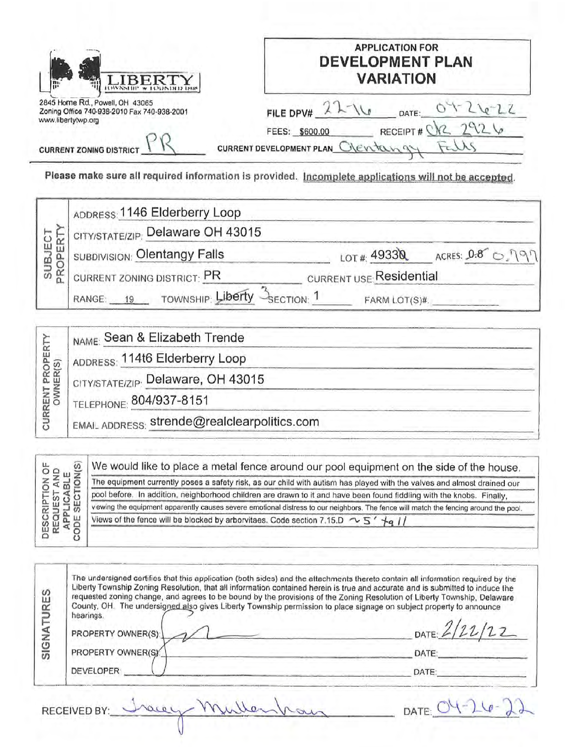|                                                                                                      | <b>APPLICATION FOR</b><br><b>DEVELOPMENT PLAN</b><br><b>VARIATION</b> |
|------------------------------------------------------------------------------------------------------|-----------------------------------------------------------------------|
| 2845 Home Rd., Powell, OH 43065<br>Zoning Office 740-938-2010 Fax 740-938-2001<br>www.libertytwp.org | FILE DPV#<br>DATE:<br>RECEIPT#<br>FEES: \$600.00                      |
| <b>CURRENT ZONING DISTRICT</b>                                                                       | CURRENT DEVELOPMENT PLAN OVER tan                                     |

| PROPER<br>щ<br>SUB. | ADDRESS: 1146 Elderberry Loop                        |                         |                               |
|---------------------|------------------------------------------------------|-------------------------|-------------------------------|
|                     | CITY/STATE/ZIP: Delaware OH 43015                    |                         |                               |
|                     | SUBDIVISION: Olentangy Falls                         |                         | LOT #: 49330 ACRES: 0.8 0 191 |
|                     | CURRENT ZONING DISTRICT: PR                          | CURRENT USE Residential |                               |
|                     | TOWNSHIP: Liberty<br>RANGE:<br>SECTION: <sup>1</sup> | FARM LOT(S)#.           |                               |

| $\omega$<br>$\leq$ $\frac{1}{2}$<br>DESCRIPTI<br>REQUEST<br>APPLICA<br>COE SECT | We would like to place a metal fence around our pool equipment on the side of the house.                                              |
|---------------------------------------------------------------------------------|---------------------------------------------------------------------------------------------------------------------------------------|
|                                                                                 | The equipment currently poses a safety risk, as our child with autism has played with the valves and almost drained our               |
|                                                                                 | pool before. In addition, neighborhood children are drawn to it and have been found fiddling with the knobs. Finally,                 |
|                                                                                 | viewing the equipment apparently causes severe emotional distress to our neighbors. The fence will match the fencing around the pool. |
|                                                                                 | Views of the fence will be blocked by arborvitaes. Code section 7.15.D $\sim$ 5' $+q$ //                                              |
|                                                                                 |                                                                                                                                       |

| SIGNATURES | The undersigned certifies that this application (both sides) and the attachments thereto contain all information required by the<br>Liberty Township Zoning Resolution, that all information contained herein is true and accurate and is submitted to induce the<br>requested zoning change, and agrees to be bound by the provisions of the Zoning Resolution of Liberty Township, Delaware<br>County, OH. The undersigned also gives Liberty Township permission to place signage on subject property to announce<br>hearings.<br>PROPERTY OWNER(S): | DATE $2/221$ |
|------------|---------------------------------------------------------------------------------------------------------------------------------------------------------------------------------------------------------------------------------------------------------------------------------------------------------------------------------------------------------------------------------------------------------------------------------------------------------------------------------------------------------------------------------------------------------|--------------|
|            | PROPERTY OWNER(S)                                                                                                                                                                                                                                                                                                                                                                                                                                                                                                                                       | DATE:        |
|            | <b>DEVELOPER</b>                                                                                                                                                                                                                                                                                                                                                                                                                                                                                                                                        | DATE         |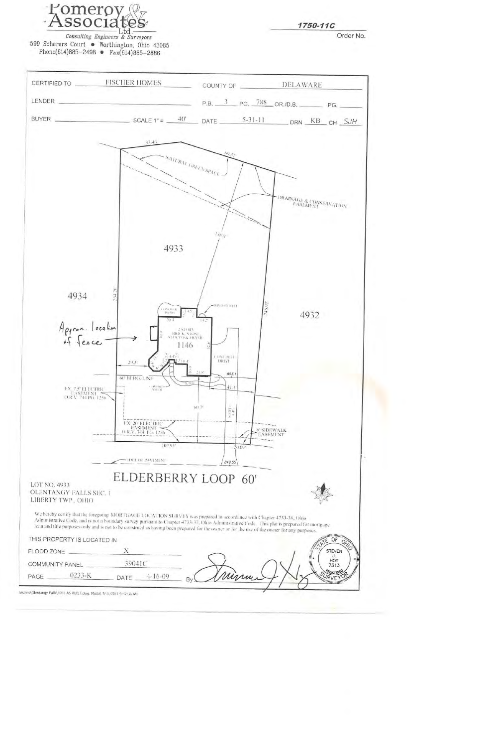

1750-11C

Order No.

Consulting Engineers & Surveyors 599 Scherers Court . Worthington, Ohio 43085 Phone(614)885-2498 •  $Fax(614)885-2886$ 





Ivisions\Olentangy Falls\4933 AS BUILT.dwg. Model, 5/31/2011 9:47:36 AM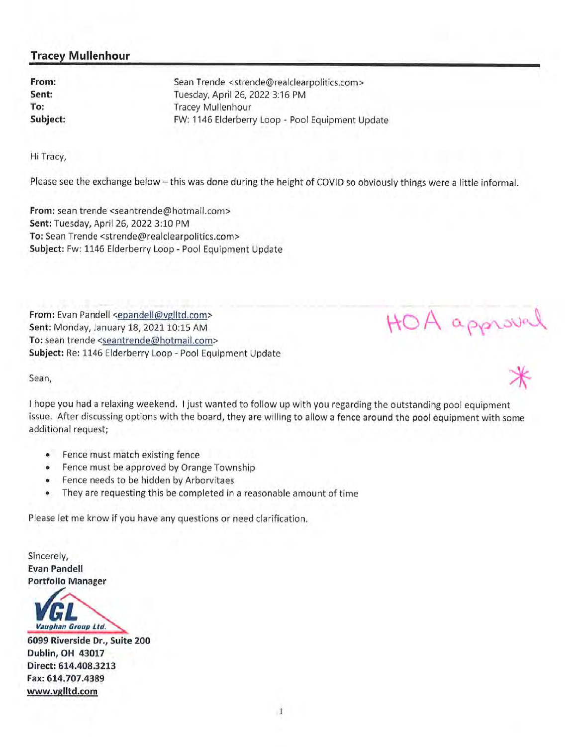## Tracey Mullenhour

From: Sean Trende <strende@realclearpolitics.com> Sent: Tuesday, April 26, 2022 3:16 PM To: Tracey Mullenhour Subject: FW: 1146 Elderberry Loop - Pool Equipment Update

Hi Tracy,

Please see the exchange below — this was done during the height of COVID so obviously things were <sup>a</sup> little informal.

From: sean trende <seantrende@hotmail.com> Sent: Tuesday, April 26, 2022 3:10 PM To: Sean Trende <strende@realclearpolitics.com> Subject: Fw: 1146 Elderberry Loop - Pool Equipment Update

From: Evan Pandell <epandell@vglltd.com> Sent: Monday, January 18, 2021 10:15 AM To: sean trende <seantrende@hotmail.com> Subject: Re: 1146 Elderberry Loop - Pool Equipment Update

Sean,

<sup>I</sup> hope you had <sup>a</sup> relaxing weekend. <sup>I</sup> just wanted to follow up with you regarding the outstanding poo<sup>l</sup> equipment issue. After discussing options with the board, they are willing to allow <sup>a</sup> fence around the poo<sup>l</sup> equipment with some additional request;

A approval

- $\bullet$ Fence must match existing fence
- •Fence must be approved by Orange Township
- •Fence needs to be hidden by Arborvitaes
- •They are requesting this be completed in <sup>a</sup> reasonable amount of time

Please let me know if you have any questions or need clarification.

Sincerely, Evan Pandell Portfolio Manager

VGL Vaughan Group Lfd

6099 Riverside Dr., Suite 200 Dublin, OH 43017 Direct: 614.408.3213 Fax: 614.707.4389 www.vglltd.com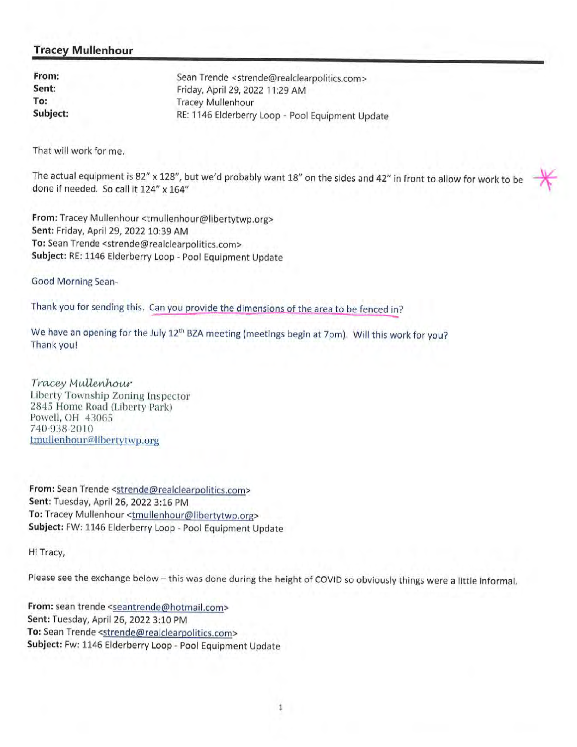## Tracey Mullenhour

| From:    | Sean Trende <strende@realclearpolitics.com></strende@realclearpolitics.com> |
|----------|-----------------------------------------------------------------------------|
| Sent:    | Friday, April 29, 2022 11:29 AM                                             |
| To:      | <b>Tracey Mullenhour</b>                                                    |
| Subject: | RE: 1146 Elderberry Loop - Pool Equipment Update                            |

That will work for me.

The actual equipment is 82" <sup>x</sup> 128", but we'd probably want 18" on the sides and 42" in front to allow for work to be done if needed. So call it 124" x 164"

From: Tracey Mullenhour <tmullenhour@libertytwp.org> Sent: Friday, April 29, 2022 10:39 AM To: Sean Trende <strende@realclearpolitics.com> Subject: RE: 1146 Elderberry Loop - Pool Equipment Update

Good Morning Sean-

Thank you for sending this, Can you provide the dimensions of the area to be fenced in?

We have an opening for the July 12<sup>th</sup> BZA meeting (meetings begin at 7pm). Will this work for you? Thank you!

Tracey Mullenhour Liberty Township Zoning Inspector <sup>2845</sup> Home Road (Liberty Park) Powell, OH 43065 740-938-2010 tmullenhour@libertytwp.org

From: Sean Trende <strende@realclearpolitics.com> Sent: Tuesday, April 26, 2022 3:16 PM To: Tracey Mullenhour <tmullenhour@libertytwp.org> Subject: FW: <sup>1146</sup> Elderberry Loop -Pool Equipment Update

Hi Tracy,

Please see the exchange below — this was done during the height of COVID so obviously things were <sup>a</sup> little informal.

From: sean trende <seantrende@hotmail.com> Sent: Tuesday, April 26, 2022 3:10 PM To: Sean Trende <strende@realclearpolitics.com> Subject: Fw: 1146 Elderberry Loop - Pool Equipment Update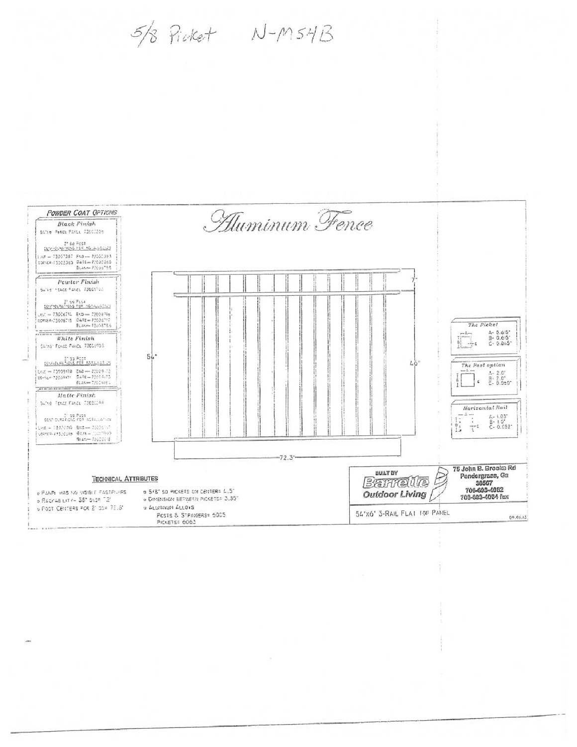$5/8$  Picket  $N-M54B$ 

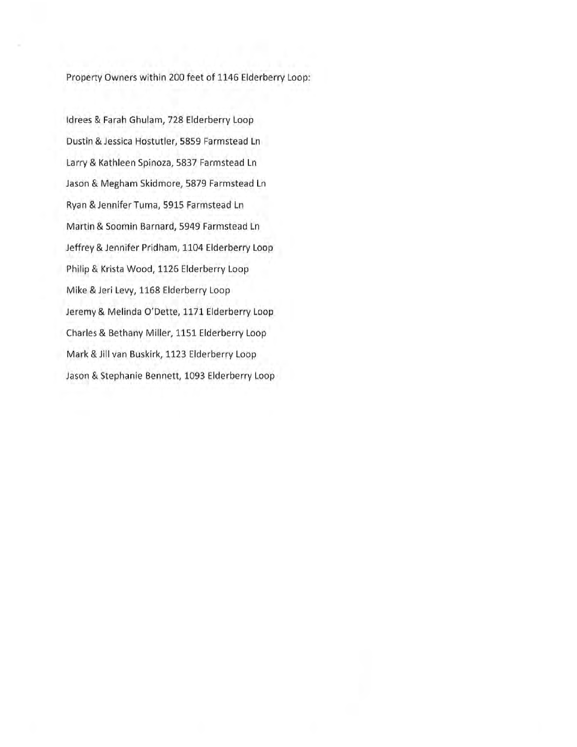Property Owners within 200 feet of 1146 Elderberry Loop:

Idrees & Farah Ghulam, 728 Elderberry Loop Dustin & Jessica Hostutler, 5859 Farmstead Ln Larry & Kathleen Spinoza, 5837 Farmstead Ln Jason & Megham Skidmore, 5879 Farmstead Ln Ryan &JenniferTuma, 5915 Farmstead Ln Martin & Soomin Barnard, 5949 Farmstead Ln Jeffrey & Jennifer Pridham, 1104 Elderberry Loop Philip & Krista Wood, 1126 Elderberry Loop Mike & Jeri Levy, 1168 Elderberry Loop Jeremy & Melinda O'Dette, 1171 Elderberry Loop Charles & Bethany Miller, 1151 Elderberry Loop Mark & Jill van Buskirk, 1123 Elderberry Loop Jason & Stephanie Bennett, 1093 Elderberry Loop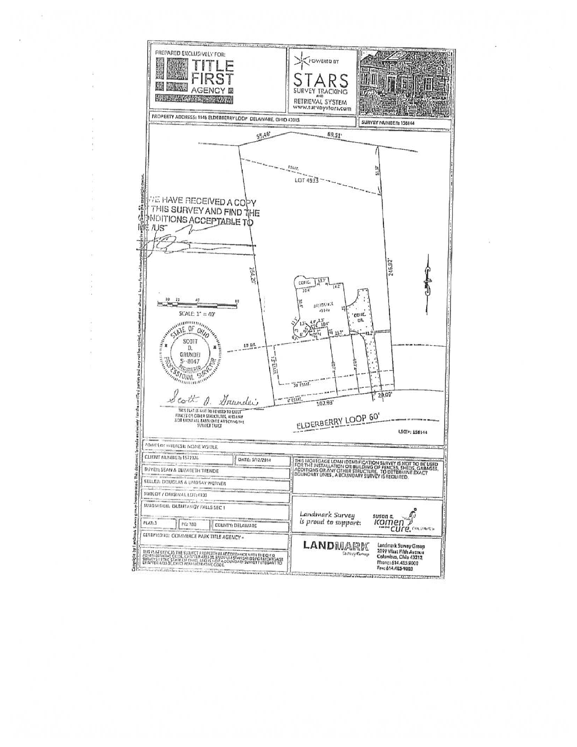